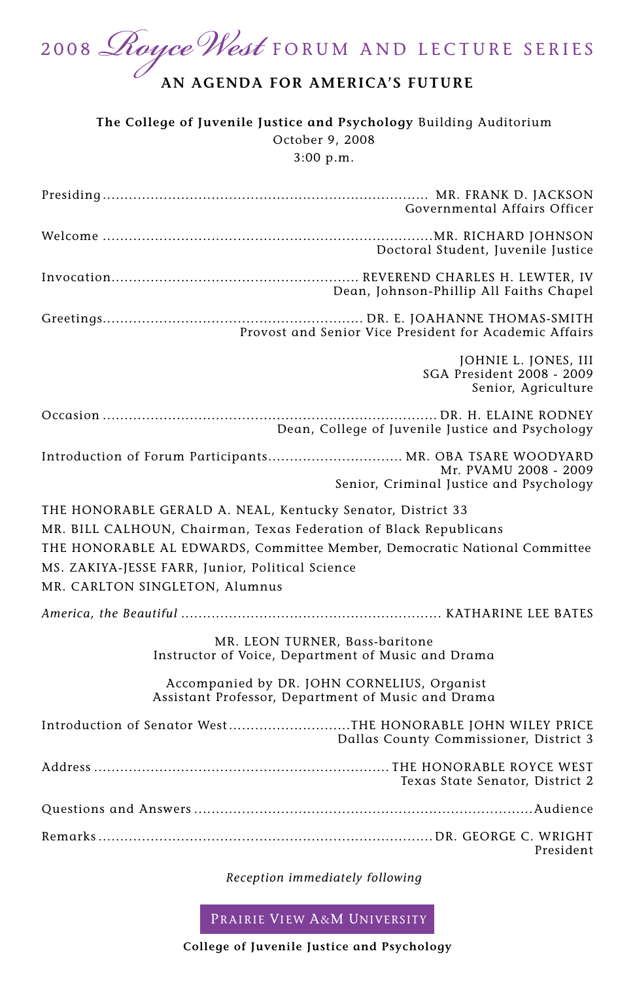2008 *Royce West* FORUM AND LECTURE SERIES

## **AN AGENDA FOR AMERICA'S FUTURE**

**The College of Juvenile Justice and Psychology** Building Auditorium October 9, 2008 3:00 p.m.

| Governmental Affairs Officer                                                                                                  |  |  |  |
|-------------------------------------------------------------------------------------------------------------------------------|--|--|--|
| Doctoral Student, Juvenile Justice                                                                                            |  |  |  |
| Dean, Johnson-Phillip All Faiths Chapel                                                                                       |  |  |  |
| Provost and Senior Vice President for Academic Affairs                                                                        |  |  |  |
| JOHNIE L. JONES, III<br>SGA President 2008 - 2009<br>Senior, Agriculture                                                      |  |  |  |
| Dean, College of Juvenile Justice and Psychology                                                                              |  |  |  |
| Introduction of Forum Participants MR. OBA TSARE WOODYARD<br>Mr. PVAMU 2008 - 2009<br>Senior, Criminal Justice and Psychology |  |  |  |
| THE HONORABLE GERALD A. NEAL, Kentucky Senator, District 33                                                                   |  |  |  |
| MR. BILL CALHOUN, Chairman, Texas Federation of Black Republicans                                                             |  |  |  |
| THE HONORABLE AL EDWARDS, Committee Member, Democratic National Committee                                                     |  |  |  |
| MS. ZAKIYA-JESSE FARR, Junior, Political Science                                                                              |  |  |  |
| MR. CARLTON SINGLETON, Alumnus                                                                                                |  |  |  |
|                                                                                                                               |  |  |  |
|                                                                                                                               |  |  |  |
| MR. LEON TURNER, Bass-baritone<br>Instructor of Voice, Department of Music and Drama                                          |  |  |  |
| Accompanied by DR. JOHN CORNELIUS, Organist<br>Assistant Professor, Department of Music and Drama                             |  |  |  |
| Introduction of Senator WestTHE HONORABLE JOHN WILEY PRICE<br>Dallas County Commissioner, District 3                          |  |  |  |
| Texas State Senator, District 2                                                                                               |  |  |  |
|                                                                                                                               |  |  |  |
| President                                                                                                                     |  |  |  |

*Reception immediately following*

PRAIRIE VIEW A&M UNIVERSITY

**College of Juvenile Justice and Psychology**